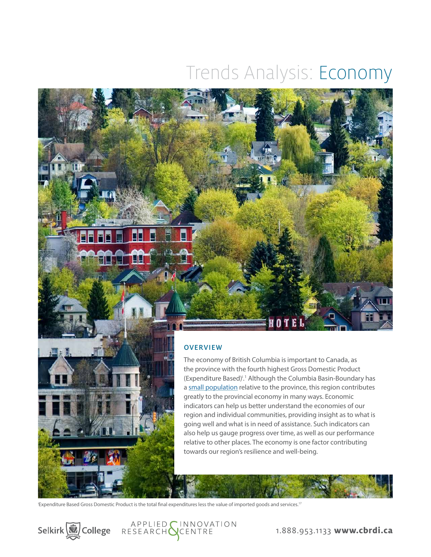# Trends Analysis: Economy

### **OVERVIEW**

The economy of British Columbia is important to Canada, as the province with the fourth highest Gross Domestic Product (Expenditure Based)<sup>1</sup>.<sup>1</sup> Although the Columbia Basin-Boundary has a [small population](http://datacat.cbrdi.ca/sites/default/files/attachments/TA_Demographics_2016.pdf ) relative to the province, this region contributes greatly to the provincial economy in many ways. Economic indicators can help us better understand the economies of our region and individual communities, providing insight as to what is going well and what is in need of assistance. Such indicators can also help us gauge progress over time, as well as our performance relative to other places. The economy is one factor contributing towards our region's resilience and well-being.

'Expenditure Based Gross Domestic Product is the total final expenditures less the value of imported goods and services.<sup>17</sup>



**Tall Ma** 

LL

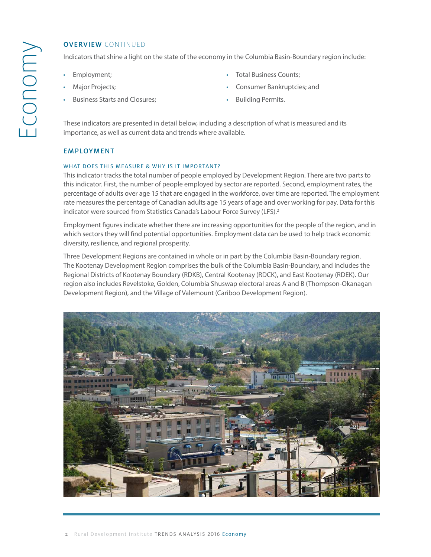Indicators that shine a light on the state of the economy in the Columbia Basin-Boundary region include:

- Employment;
- [Major Projects](#page-4-0);
- [Business Starts and Closures;](#page-5-0)
- [Total Business Counts](#page-7-0);
- [Consumer Bankruptcies;](#page-9-0) and
- [Building Permits.](#page-9-0)

These indicators are presented in detail below, including a description of what is measured and its importance, as well as current data and trends where available.

### **EMPLOYMENT**

### WHAT DOES THIS MEASURE & WHY IS IT IMPORTANT?

This indicator tracks the total number of people employed by Development Region. There are two parts to this indicator. First, the number of people employed by sector are reported. Second, employment rates, the percentage of adults over age 15 that are engaged in the workforce, over time are reported. The employment rate measures the percentage of Canadian adults age 15 years of age and over working for pay. Data for this indicator were sourced from Statistics Canada's Labour Force Survey (LFS).<sup>2</sup>

Employment figures indicate whether there are increasing opportunities for the people of the region, and in which sectors they will find potential opportunities. Employment data can be used to help track economic diversity, resilience, and regional prosperity.

Three Development Regions are contained in whole or in part by the Columbia Basin-Boundary region. The Kootenay Development Region comprises the bulk of the Columbia Basin-Boundary, and includes the Regional Districts of Kootenay Boundary (RDKB), Central Kootenay (RDCK), and East Kootenay (RDEK). Our region also includes Revelstoke, Golden, Columbia Shuswap electoral areas A and B (Thompson-Okanagan Development Region), and the Village of Valemount (Cariboo Development Region).

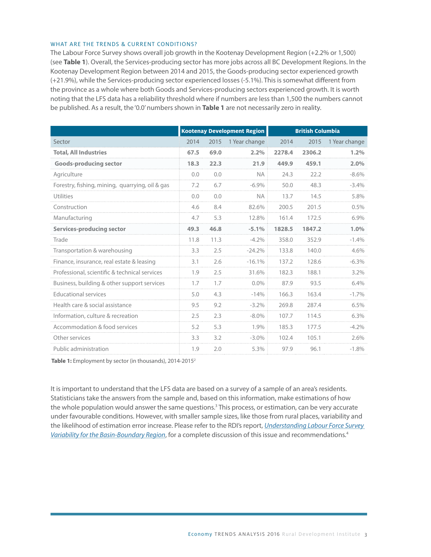### WHAT ARE THE TRENDS & CURRENT CONDITIONS?

The Labour Force Survey shows overall job growth in the Kootenay Development Region (+2.2% or 1,500) (see **Table 1**). Overall, the Services-producing sector has more jobs across all BC Development Regions. In the Kootenay Development Region between 2014 and 2015, the Goods-producing sector experienced growth (+21.9%), while the Services-producing sector experienced losses (-5.1%). This is somewhat different from the province as a whole where both Goods and Services-producing sectors experienced growth. It is worth noting that the LFS data has a reliability threshold where if numbers are less than 1,500 the numbers cannot be published. As a result, the '0.0' numbers shown in **Table 1** are not necessarily zero in reality.

|                                                 | <b>Kootenay Development Region</b> |      |               | <b>British Columbia</b> |        |               |
|-------------------------------------------------|------------------------------------|------|---------------|-------------------------|--------|---------------|
| Sector                                          | 2014                               | 2015 | 1 Year change | 2014                    | 2015   | 1 Year change |
| <b>Total, All Industries</b>                    | 67.5                               | 69.0 | 2.2%          | 2278.4                  | 2306.2 | 1.2%          |
| <b>Goods-producing sector</b>                   | 18.3                               | 22.3 | 21.9          | 449.9                   | 459.1  | 2.0%          |
| Agriculture                                     | 0.0                                | 0.0  | <b>NA</b>     | 24.3                    | 22.2   | $-8.6%$       |
| Forestry, fishing, mining, quarrying, oil & gas | 7.2                                | 6.7  | $-6.9%$       | 50.0                    | 48.3   | $-3.4%$       |
| <b>Utilities</b>                                | 0.0                                | 0.0  | <b>NA</b>     | 13.7                    | 14.5   | 5.8%          |
| Construction                                    | 4.6                                | 8.4  | 82.6%         | 200.5                   | 201.5  | 0.5%          |
| Manufacturing                                   | 4.7                                | 5.3  | 12.8%         | 161.4                   | 172.5  | 6.9%          |
| <b>Services-producing sector</b>                | 49.3                               | 46.8 | $-5.1%$       | 1828.5                  | 1847.2 | 1.0%          |
| Trade                                           | 11.8                               | 11.3 | $-4.2%$       | 358.0                   | 352.9  | $-1.4%$       |
| Transportation & warehousing                    | 3.3                                | 2.5  | $-24.2%$      | 133.8                   | 140.0  | 4.6%          |
| Finance, insurance, real estate & leasing       | 3.1                                | 2.6  | $-16.1%$      | 137.2                   | 128.6  | $-6.3%$       |
| Professional, scientific & technical services   | 1.9                                | 2.5  | 31.6%         | 182.3                   | 188.1  | 3.2%          |
| Business, building & other support services     | 1.7                                | 1.7  | $0.0\%$       | 87.9                    | 93.5   | 6.4%          |
| <b>Educational services</b>                     | 5.0                                | 4.3  | $-14%$        | 166.3                   | 163.4  | $-1.7%$       |
| Health care & social assistance                 | 9.5                                | 9.2  | $-3.2\%$      | 269.8                   | 287.4  | 6.5%          |
| Information, culture & recreation               | 2.5                                | 2.3  | $-8.0\%$      | 107.7                   | 114.5  | 6.3%          |
| Accommodation & food services                   | 5.2                                | 5.3  | 1.9%          | 185.3                   | 177.5  | $-4.2%$       |
| Other services                                  | 3.3                                | 3.2  | $-3.0\%$      | 102.4                   | 105.1  | 2.6%          |
| Public administration                           | 1.9                                | 2.0  | 5.3%          | 97.9                    | 96.1   | $-1.8%$       |

Table 1: Employment by sector (in thousands), 2014-2015<sup>2</sup>

It is important to understand that the LFS data are based on a survey of a sample of an area's residents. Statisticians take the answers from the sample and, based on this information, make estimations of how the whole population would answer the same questions.<sup>3</sup> This process, or estimation, can be very accurate under favourable conditions. However, with smaller sample sizes, like those from rural places, variability and the likelihood of estimation error increase. Please refer to the RDI's report, *[Understanding Labour Force Survey](http://datacat.cbrdi.ca/sites/default/files/attachments/Understanding-the-LFS-Methodology-Brief.pdf)  [Variability for the Basin-Boundary Region](http://datacat.cbrdi.ca/sites/default/files/attachments/Understanding-the-LFS-Methodology-Brief.pdf)*, for a complete discussion of this issue and recommendations.4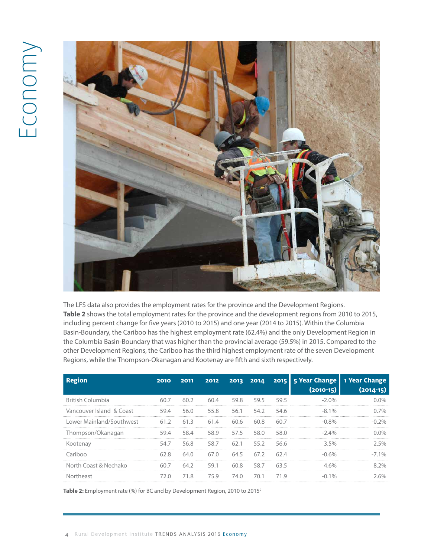# Economy



The LFS data also provides the employment rates for the province and the Development Regions. **Table 2** shows the total employment rates for the province and the development regions from 2010 to 2015, including percent change for five years (2010 to 2015) and one year (2014 to 2015). Within the Columbia Basin-Boundary, the Cariboo has the highest employment rate (62.4%) and the only Development Region in the Columbia Basin-Boundary that was higher than the provincial average (59.5%) in 2015. Compared to the other Development Regions, the Cariboo has the third highest employment rate of the seven Development Regions, while the Thompson-Okanagan and Kootenay are fifth and sixth respectively.

| Region                   | 2010 | 2011 | 2012 |      |                |       | 2013 2014 2015 5 Year Change<br>$(2010-15)$ | 1 Year Change<br>$(2014-15)$ |
|--------------------------|------|------|------|------|----------------|-------|---------------------------------------------|------------------------------|
| British Columbia         | 60.7 | 60.2 | 60.4 |      | 59.8 59.5      | 59.5  | $-2.0\%$                                    | በ በ%                         |
| Vancouver Island & Coast | 59.4 | 56.0 | 55.8 |      | 56.1 54.2 54.6 |       | $-8.1\%$                                    | በ 7%                         |
| Lower Mainland/Southwest | 61.2 | 61.3 | 61.4 | 60.6 | 60.8           | 60 Z  | $-0.8\%$                                    |                              |
| Thompson/Okanagan        | 59.4 | 58.4 |      |      | 58.9 57.5 58.0 | 58.0  | $-24%$                                      | በ በ‰                         |
| Kootenay                 | 54.7 | 56.8 |      |      | 58.7 62.1 55.2 | -56.6 | $35\%$                                      | 25%                          |
| Cariboo                  | 62.8 | 64.0 | 67.0 |      | 64.5 67.2      | 624   | $-0.6\%$                                    | $-71%$                       |
| North Coast & Nechako    | 60.7 | 64.2 | 59.1 |      | 60.8 58.7      | 63.5  | $4.6\%$                                     |                              |
| Northeast                | 72 N | 718  | 759  | 74.0 | 70.1           | 719   | 10 <sub>o</sub>                             | 60/2                         |

Table 2: Employment rate (%) for BC and by Development Region, 2010 to 2015<sup>2</sup>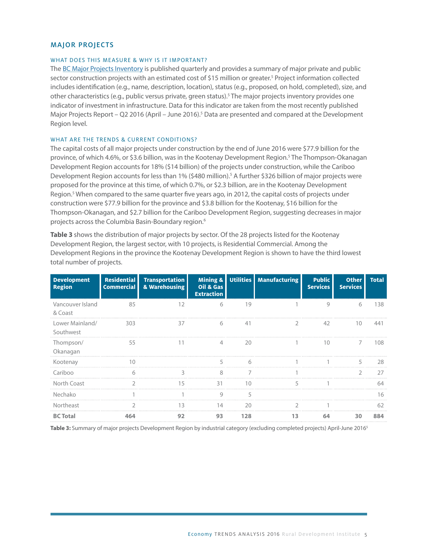### <span id="page-4-0"></span>MAJOR PROJECTS

### WHAT DOES THIS MEASURE & WHY IS IT IMPORTANT?

The [BC Major Projects Inventory](http://www2.gov.bc.ca/gov/content/employment-business/economic-development/industry/bc-major-projects-inventory/recent-reports) is published quarterly and provides a summary of major private and public sector construction projects with an estimated cost of \$15 million or greater.<sup>5</sup> Project information collected includes identification (e.g., name, description, location), status (e.g., proposed, on hold, completed), size, and other characteristics (e.g., public versus private, green status).<sup>5</sup> The major projects inventory provides one indicator of investment in infrastructure. Data for this indicator are taken from the most recently published Major Projects Report – Q2 2016 (April – June 2016).<sup>5</sup> Data are presented and compared at the Development Region level.

### WHAT ARE THE TRENDS & CURRENT CONDITIONS?

The capital costs of all major projects under construction by the end of June 2016 were \$77.9 billion for the province, of which 4.6%, or \$3.6 billion, was in the Kootenay Development Region.5 The Thompson-Okanagan Development Region accounts for 18% (\$14 billion) of the projects under construction, while the Cariboo Development Region accounts for less than 1% (\$480 million).<sup>5</sup> A further \$326 billion of major projects were proposed for the province at this time, of which 0.7%, or \$2.3 billion, are in the Kootenay Development Region.5 When compared to the same quarter five years ago, in 2012, the capital costs of projects under construction were \$77.9 billion for the province and \$3.8 billion for the Kootenay, \$16 billion for the Thompson-Okanagan, and \$2.7 billion for the Cariboo Development Region, suggesting decreases in major projects across the Columbia Basin-Boundary region.<sup>6</sup>

**Table 3** shows the distribution of major projects by sector. Of the 28 projects listed for the Kootenay Development Region, the largest sector, with 10 projects, is Residential Commercial. Among the Development Regions in the province the Kootenay Development Region is shown to have the third lowest total number of projects.

| <b>Development</b><br><b>Region</b> | <b>Residential</b><br><b>Commercial</b> | <b>Transportation</b><br>& Warehousing | Oil & Gas<br><b>Extraction</b> |     | Mining & Utilities   Manufacturing | <b>Public</b><br>Services | <b>Other</b><br><b>Services</b> | <b>Total</b> |
|-------------------------------------|-----------------------------------------|----------------------------------------|--------------------------------|-----|------------------------------------|---------------------------|---------------------------------|--------------|
| Vancouver Island<br>& Coast         | 85                                      | 12                                     | 6                              | 19  |                                    | 9                         | 6                               | 138          |
| Lower Mainland/<br>Southwest        | 303                                     | 37                                     | h                              | 41  |                                    | 42                        | 10                              |              |
| Thompson/<br>Okanagan               | 55                                      |                                        |                                | 20  |                                    | 10                        |                                 | 108          |
| Kootenay                            |                                         |                                        |                                |     |                                    |                           |                                 | 28           |
| Cariboo                             | 6                                       | 3                                      | 8                              | 7   |                                    |                           |                                 | 77           |
| North Coast                         |                                         | 15                                     | 31                             |     |                                    |                           |                                 |              |
| Nechako                             |                                         |                                        |                                |     |                                    |                           |                                 |              |
| Northeast                           |                                         |                                        |                                |     |                                    |                           |                                 |              |
| <b>BC</b> Total                     |                                         | 92                                     | 93                             | 178 |                                    | 64                        | 30                              |              |

**Table 3:** Summary of major projects Development Region by industrial category (excluding completed projects) April-June 20165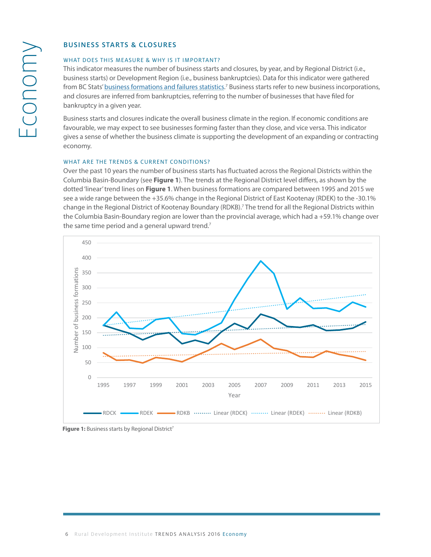## <span id="page-5-0"></span>BUSINESS STARTS & CLOSURES

# WHAT DOES THIS MEASURE & WHY IS IT IMPORTANT?

man experiment the manneuver of the commentation.<br>This indicator measures the number of business starts and closures, by year, and by Regional District (i.e., business starts) or Development Region (i.e., business bankruptcies). Data for this indicator were gathered from BC Stats' [business formations and failures statistics](http://www.bcstats.gov.bc.ca/StatisticsBySubject/Economy/BusinessFormationsandFailures.aspx).<sup>7</sup> Business starts refer to new business incorporations, and closures are inferred from bankruptcies, referring to the number of businesses that have filed for<br>hardworthistic a river wear bankruptcy in a given year. conditions are favouring to see business for may expect than the see business for the see business for the see o

Business starts and closures indicate the overall business climate in the region. If economic conditions are favourable, we may expect to see businesses forming faster than they close, and vice versa. This indicator gives a sense of whether the business climate is supporting the development of an expanding or contracting economy. *What are the trends & current conditions?*

# WHAT ARE THE TRENDS & CURRENT CONDITIONS?

with the the thermas a connent conditions:<br>Over the past 10 years the number of business starts has fluctuated across the Regional Districts within the over the past to years the namber of basiness state has hectaated across the hegional bistricts them the<br>Columbia Basin-Boundary (see **Figure 1**). The trends at the Regional District level differs, as shown by the dotted 'linear' trend lines on **Figure 1**. When business formations are compared between 1995 and 2015 we see a wide range between the +35.6% change in the Regional District of East Kootenay (RDEK) to the -30.1% change in the Regional District of Kootenay Boundary (RDKB).<sup>7</sup> The trend for all the Regional Districts within the Columbia Basin-Boundary region are lower than the provincial average, which had a +59.1% change over the same time period and a general upward trend.<sup>7</sup>



**Figure 1: Business starts by Regional District**<sup>7</sup> **Figure 1:** Business starts by Regional District7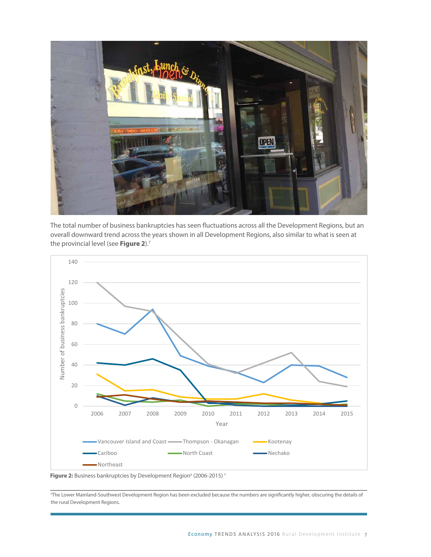

The total number of business bankruptcies has seen fluctuations across all the Development Regions, but an overall downward trend across the years shown in all Development Regions, also similar to what is seen at the provincial level (see **Figure 2**).7



Figure 2: Business bankruptcies by Development Region<sup>ii</sup> (2006-2015)<sup>7</sup>

"The Lower Mainland-Southwest Development Region has been excluded because the numbers are significantly higher, obscuring the details of<br>the rural Development Begions the rural Development Regions.

example, incorporations in the Kootenay Development Region are at a lower level now than they have been in the past, with a 1 (2014-2015,  $\alpha$ 1)-2015,  $\alpha$  (2014-2015,  $\alpha$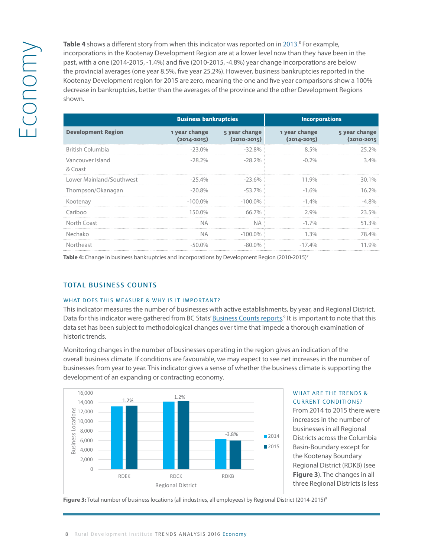<span id="page-7-0"></span>Table 4 shows a different story from when this indicator was reported on in [2013.](http://www.cbrdi.ca/wp-content/uploads/StateoftheBasin2013_LongReport1.pdf)<br>
incorporations in the Kootenay Development Region are at a lower level now than<br>
past, with a one (2014-2015, -1.4%) and five (2010-2015, -<sup>8</sup> For example, incorporations in the Kootenay Development Region are at a lower level now than they have been in the past, with a one (2014-2015, -1.4%) and five (2010-2015, -4.8%) year change incorporations are below the provincial averages (one year 8.5%, five year 25.2%). However, business bankruptcies reported in the Kootenay Development region for 2015 are zero, meaning the one and five year comparisons show a 100% decrease in bankruptcies, better than the averages of the province and the other Development Regions shown.

|                             | <b>Business bankruptcies</b>     |                 | <b>Incorporations</b>                                                                                                             |                             |  |
|-----------------------------|----------------------------------|-----------------|-----------------------------------------------------------------------------------------------------------------------------------|-----------------------------|--|
| <b>Development Region</b>   | 1 year change<br>$(2014 - 2015)$ | $(2010 - 2015)$ | 5 year change control to the state of the state is a state of the state of the state of the state is a state o<br>$(2014 - 2015)$ | 5 year change<br>(2010-2015 |  |
| <b>British Columbia</b>     | $-23.0\%$                        | -32.8%          | $8.5\%$                                                                                                                           | 25.2%                       |  |
| Vancouver Island<br>& Coast | $-28.2%$                         | $-28.2\%$       | $-0.2\%$                                                                                                                          | $3.4\%$                     |  |
| Lower Mainland/Southwest    | -25.4%                           | $-23.6\%$       | 11.9%                                                                                                                             | 30.1%                       |  |
| Thompson/Okanagan           | $-20.8\%$                        | -53.7% :        | $-1.6\%$                                                                                                                          | 16 2%                       |  |
| Kootenay                    | $-100.0\%$                       | $-100.0\%$      | $-1.4\%$                                                                                                                          | $-4.8\%$                    |  |
| Cariboo                     | 150.0%                           | 66.7%           | $2.9\%$                                                                                                                           | 23.5%                       |  |
| North Coast                 | <b>NA</b>                        | NA.             | $-1.7\%$                                                                                                                          | 51 3%                       |  |
| Nechako                     | ΝA                               | $-100.0\%$      | $1.3\%$                                                                                                                           | 78 4%                       |  |
| Northeast                   | $-50.0\%$                        | $\Omega\%$      | $-174%$                                                                                                                           |                             |  |

Table 4: Change in business bankruptcies and incorporations by Development Region (2010-2015)<sup>7</sup>

### TOTAL BUSINESS COUNTS Monitoring changes in the number of businesses operating in the region gives an indication of

**2015)**<sup>9</sup>

## WHAT DOES THIS MEASURE & WHY IS IT IMPORTANT?

This indicator measures the number of businesses with active establishments, by year, and Regional District. Data for this indicator were gathered from BC Stats' [Business Counts reports.](http://www.bcstats.gov.bc.ca/StatisticsBySubject/BusinessIndustry/BusinessCountsEmploymentByIndustry.aspx)<sup>9</sup> It is important to note that this data set has been subject to methodological changes over time that impede a thorough examination of historic trends. From 2014 to 2015 there were increases in the number of businesses in all Regional Districts

Monitoring changes in the number of businesses operating in the region gives an indication of the overall business climate. If conditions are favourable, we may expect to see net increases in the number of businesses from year to year. This indicator gives a sense of whether the business climate is supporting the development of an expanding or contracting economy.



### WHAT ARE THE TRENDS & CURRENT CONDITIONS?  $\overline{O}$  of these bars. Can some please do the measure please do the measure please do the measure please do the measure please do the measure please do the measure please of the measure please of the measure please of th

From 2014 to 2015 there were increases in the number of businesses in all Regional Districts across the Columbia Basin-Boundary except for the Kootenay Boundary Regional District (RDKB) (see **Figure 3**). The changes in all three Regional Districts is less  $\sum_{i=1}^{n}$ 

Figure 3: Total number of business locations (all industries, all employees) by Regional District (2014-2015)<sup>9</sup>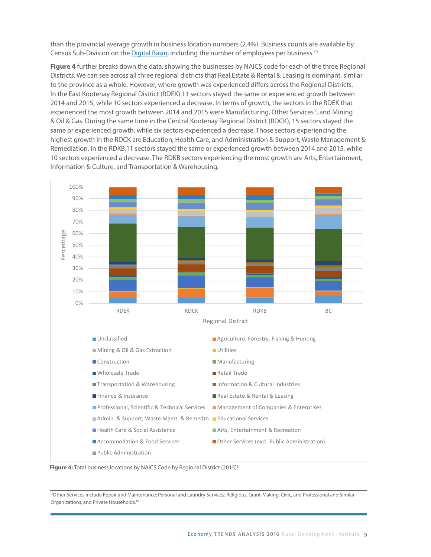than the provincial average growth in business location numbers (2.4%). Business counts are available by Census Sub-Division on the [Digital Basin,](http://datacat.cbrdi.ca/digitalbasin/wpPrtDriver.php?Community=Select%2520a%2520Community&Theme=Business%2520Climate%2520%2526%2520Sectors&Pillar=Economic&Category=Tot%20Business%20Counts) including the number of employees per business.<sup>10</sup>

**Figure 4** further breaks down the data, showing the businesses by NAICS code for each of the three Regional Districts. We can see across all three regional districts that Real Estate & Rental & Leasing is dominant, similar to the province as a whole. However, where growth was experienced differs across the Regional Districts. In the East Kootenay Regional District (RDEK) 11 sectors stayed the same or experienced growth between 2014 and 2015, while 10 sectors experienced a decrease. In terms of growth, the sectors in the RDEK that experienced the most growth between 2014 and 2015 were Manufacturing, Other Services<sup>iii</sup>, and Mining & Oil & Gas. During the same time in the Central Kootenay Regional District (RDCK), 15 sectors stayed the same time in the Central Kootenay Regional District (RDCK), 15 sectors stayed the same or experienced growth, while six sectors experienced a decrease. Those sectors experiencing the highest growth in the RDCK are Education, Health Care, and Administration & Support, Waste Management & Remediation. In the RDKB,11 sectors stayed the same or experienced growth between 2014 and 2015, while 10 sectors experienced a decrease. The RDKB sectors experiencing the most growth are Arts, Entertainment, Information & Culture, and Transportation & Warehousing.





**Consumer Bankruptcies** 

*What does this measure & why is it important?*  Organizations; and Private Households.18iiiOther Services include Repair and Maintenance; Personal and Laundry Services; Religious, Grant-Making, Civic, and Professional and Similar

This indicator measures the number of personal bankruptcies reported, by  $\alpha$  and by  $\alpha$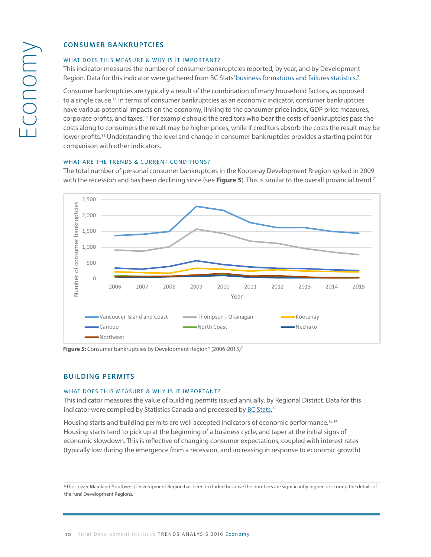### WHAT DOES THIS MEASURE & WHY IS IT IMPORTANT?

This indicator measures the number of consumer bankruptcies reported, by year, and by Development Region. Data for this indicator were gathered from BC Stats' [business formations and failures statistics](http://www.bcstats.gov.bc.ca/StatisticsBySubject/Economy/BusinessFormationsandFailures.aspx).<sup>7</sup>

<span id="page-9-0"></span>CONSUMER BANKRUPTCIES<br>
WHAT DOES THIS MEASURE & WHY<br>
This indicator measures the numbe<br>
Region. Data for this indicator were<br>
Consumer bankruptcies are typical<br>
to a single cause.<sup>11</sup> In terms of cons<br>
have various potenti Consumer bankruptcies are typically a result of the combination of many household factors, as opposed consumer bankruptcies are typically a result of the combination of many household idetors, as opposed<br>to a single cause.<sup>11</sup> In terms of consumer bankruptcies as an economic indicator, consumer bankruptcies have various potential impacts on the economy, linking to the consumer price index, GDP price measures, corporate profits, and taxes.<sup>11</sup> For example should the creditors who bear the costs of bankruptcies pass the costs along to consumers the result may be higher prices, while if creditors absorb the costs the result may be lower profits.<sup>11</sup> Understanding the level and change in consumer bankruptcies provides a starting point for comparison with other indicators. *What are the trends & current conditions?*

### WHAT ARE THE TRENDS & CURRENT CONDITIONS?

The total number of personal consumer bankruptcies in the Kootenay Development Rregion spiked in 2009 with the recession and has been declining since (see **Figure 5**). This is similar to the overall provincial trend.<sup>7</sup>



**Figure 5:** Consumer bankruptcies by Development Region<sup>iv</sup> (2006-2015)<sup>7</sup>

# **Building Permits** BUILDING PERMITS

# *What does this measure & why is it important?*  WHAT DOES THIS MEASURE & WHY IS IT IMPORTANT?

*What are the trends & current conditions?*

This indicator measures the value of building permits issued annually, by Regional District. This indicator measures the value of building permits issued annually, by Regional District. Data for this indicator were compiled by Statistics Canada and processed by [BC Stats.](http://www.bcstats.gov.bc.ca/StatisticsBySubject/Economy/BuildingPermitsHousingStartsandSales.aspx)<sup>12</sup>

Housing starts and building permits are well accepted indicators of economic performance.<sup>13,14</sup><br>Housing starts tend to pick up at the beginning of a business cycle, and taper at the initial signs of economic slowdown. This is reflective of changing consumer expectations, coupled with interest rates (typically low during the emergence from a recession, and increasing in response to economic growth). Housing starts and building permits are well accepted indicators of economic performance.<sup>13,14</sup>

iv The Lower Mainland-Southwest Development Region has been excluded because the numbers are significantly

MThe Lower Mainland-Southwest Development Region has been excluded because the numbers are significantly higher, obscuring the details of recession. Since the reception there has been value of building permits, in the value of building permits, in the value of building permits, in the value of building permits, in the value of building permits, in the value the rural Development Regions.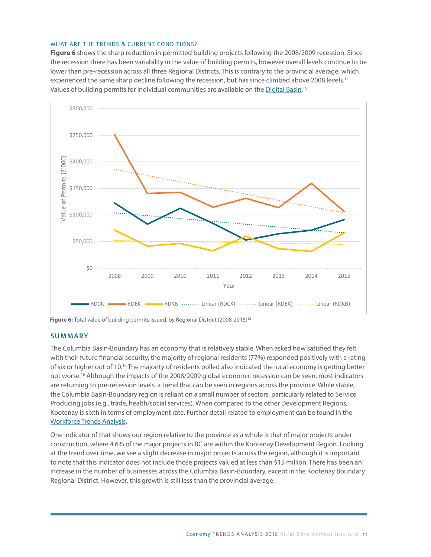### WHAT ARE THE TRENDS & CURRENT CONDITIONS?

**Figure 6** shows the sharp reduction in permitted building projects following the 2008/2009 recession. Since the recession there has been variability in the value of building permits, however overall levels continue to be lower than pre-recession across all three Regional Districts. This is contrary to the provincial average, which experienced the same sharp decline following the recession, but has since climbed above 2008 levels.<sup>12</sup> Values of building permits for individual communities are available on the <u>Digital Basin</u>.<sup>15</sup>



**Figure 6: Total value of building permits issued, by Regional District (2008-2015)**<sup>12</sup> **Figure 6:** Total value of building permits issued, by Regional District (2008-2015)<sup>12</sup>

### SUMMARY **Summary**

The Columbia Basin-Boundary has an economy that is relatively stable. When asked how satisfied they felt with their future financial security, the majority of regional residents (77%) responded positively with a rating of six or higher out of 10.<sup>16</sup> The majority of residents polled also indicated the local economy is getting better not worse.<sup>16</sup> Although the impacts of the 2008/2009 global economic recession can be seen, most indicators are returning to pre-recession levels, a trend that can be seen in regions across the province. While stable, the Columbia Basin-Boundary region is reliant on a small number of sectors, particularly related to Service Producing jobs (e.g., trade, health/social services). When compared to the other Development Regions, Kootenay is sixth in terms of employment rate. Further detail related to employment can be found in the [Workforce Trends Analysis.](http://datacat.cbrdi.ca/sites/default/files/attachments/TA_WorkForce_2016.pdf ) Service Production in the other production in the other services, the other compared to the other compared to the other compared to the other compared to the other compared to the other compared to the other compared to th

One indicator of that shows our region relative to the province as a whole is that of major projects under construction, where 4.6% of the major projects in BC are within the Kootenay Development Region. Looking at the trend over time, we see a slight decrease in major projects across the region, although it is important to note that this indicator does not include those projects valued at less than \$15 million. There has been an increase in the number of businesses across the Columbia Basin-Boundary, except in the Kootenay Boundary Regional District. However, this growth is still less than the provincial average.

District. However, this growth is still less than the provincial average.